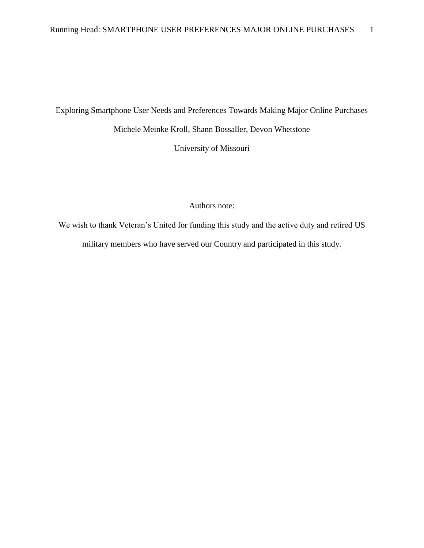### Exploring Smartphone User Needs and Preferences Towards Making Major Online Purchases

Michele Meinke Kroll, Shann Bossaller, Devon Whetstone

University of Missouri

Authors note:

We wish to thank Veteran's United for funding this study and the active duty and retired US military members who have served our Country and participated in this study.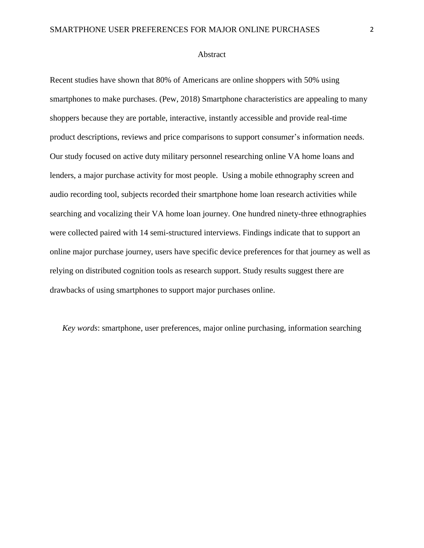#### Abstract

Recent studies have shown that 80% of Americans are online shoppers with 50% using smartphones to make purchases. (Pew, 2018) Smartphone characteristics are appealing to many shoppers because they are portable, interactive, instantly accessible and provide real-time product descriptions, reviews and price comparisons to support consumer's information needs. Our study focused on active duty military personnel researching online VA home loans and lenders, a major purchase activity for most people. Using a mobile ethnography screen and audio recording tool, subjects recorded their smartphone home loan research activities while searching and vocalizing their VA home loan journey. One hundred ninety-three ethnographies were collected paired with 14 semi-structured interviews. Findings indicate that to support an online major purchase journey, users have specific device preferences for that journey as well as relying on distributed cognition tools as research support. Study results suggest there are drawbacks of using smartphones to support major purchases online.

*Key words*: smartphone, user preferences, major online purchasing, information searching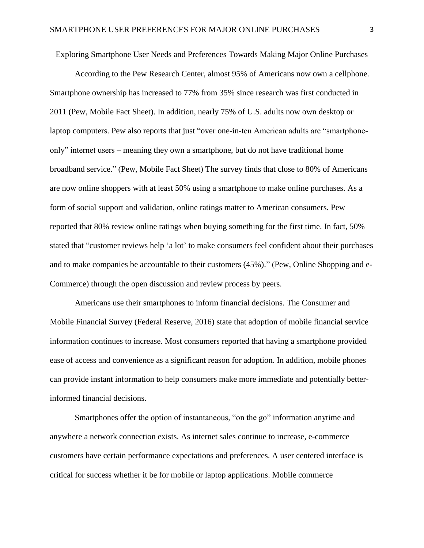Exploring Smartphone User Needs and Preferences Towards Making Major Online Purchases

According to the Pew Research Center, almost 95% of Americans now own a cellphone. Smartphone ownership has increased to 77% from 35% since research was first conducted in 2011 (Pew, Mobile Fact Sheet). In addition, nearly 75% of U.S. adults now own desktop or laptop computers. Pew also reports that just "over one-in-ten American adults are "smartphoneonly" internet users – meaning they own a smartphone, but do not have traditional home broadband service." (Pew, Mobile Fact Sheet) The survey finds that close to 80% of Americans are now online shoppers with at least 50% using a smartphone to make online purchases. As a form of social support and validation, online ratings matter to American consumers. Pew reported that 80% review online ratings when buying something for the first time. In fact, 50% stated that "customer reviews help 'a lot' to make consumers feel confident about their purchases and to make companies be accountable to their customers (45%)." (Pew, Online Shopping and e-Commerce) through the open discussion and review process by peers.

Americans use their smartphones to inform financial decisions. The Consumer and Mobile Financial Survey (Federal Reserve, 2016) state that adoption of mobile financial service information continues to increase. Most consumers reported that having a smartphone provided ease of access and convenience as a significant reason for adoption. In addition, mobile phones can provide instant information to help consumers make more immediate and potentially betterinformed financial decisions.

Smartphones offer the option of instantaneous, "on the go" information anytime and anywhere a network connection exists. As internet sales continue to increase, e-commerce customers have certain performance expectations and preferences. A user centered interface is critical for success whether it be for mobile or laptop applications. Mobile commerce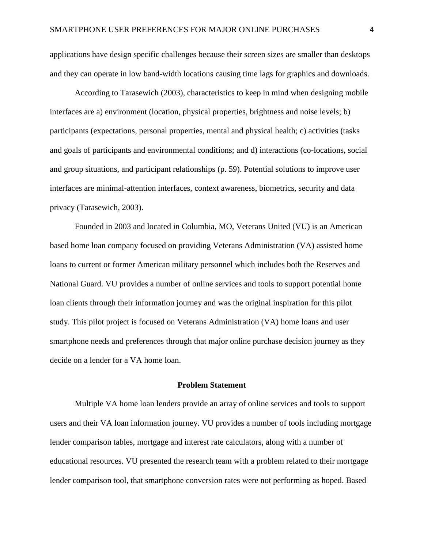applications have design specific challenges because their screen sizes are smaller than desktops and they can operate in low band-width locations causing time lags for graphics and downloads.

According to Tarasewich (2003), characteristics to keep in mind when designing mobile interfaces are a) environment (location, physical properties, brightness and noise levels; b) participants (expectations, personal properties, mental and physical health; c) activities (tasks and goals of participants and environmental conditions; and d) interactions (co-locations, social and group situations, and participant relationships (p. 59). Potential solutions to improve user interfaces are minimal-attention interfaces, context awareness, biometrics, security and data privacy (Tarasewich, 2003).

Founded in 2003 and located in Columbia, MO, Veterans United (VU) is an American based home loan company focused on providing Veterans Administration (VA) assisted home loans to current or former American military personnel which includes both the Reserves and National Guard. VU provides a number of online services and tools to support potential home loan clients through their information journey and was the original inspiration for this pilot study. This pilot project is focused on Veterans Administration (VA) home loans and user smartphone needs and preferences through that major online purchase decision journey as they decide on a lender for a VA home loan.

#### **Problem Statement**

Multiple VA home loan lenders provide an array of online services and tools to support users and their VA loan information journey. VU provides a number of tools including mortgage lender comparison tables, mortgage and interest rate calculators, along with a number of educational resources. VU presented the research team with a problem related to their mortgage lender comparison tool, that smartphone conversion rates were not performing as hoped. Based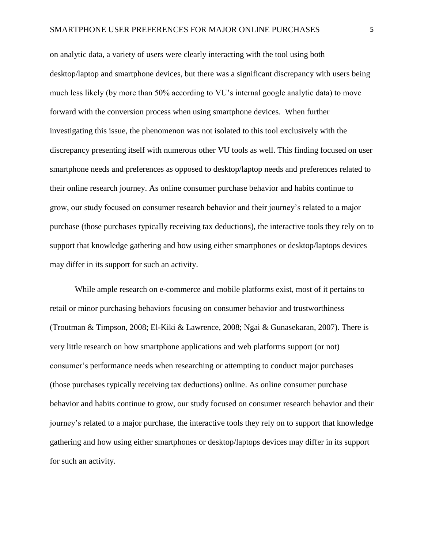on analytic data, a variety of users were clearly interacting with the tool using both desktop/laptop and smartphone devices, but there was a significant discrepancy with users being much less likely (by more than 50% according to VU's internal google analytic data) to move forward with the conversion process when using smartphone devices. When further investigating this issue, the phenomenon was not isolated to this tool exclusively with the discrepancy presenting itself with numerous other VU tools as well. This finding focused on user smartphone needs and preferences as opposed to desktop/laptop needs and preferences related to their online research journey. As online consumer purchase behavior and habits continue to grow, our study focused on consumer research behavior and their journey's related to a major purchase (those purchases typically receiving tax deductions), the interactive tools they rely on to support that knowledge gathering and how using either smartphones or desktop/laptops devices may differ in its support for such an activity.

While ample research on e-commerce and mobile platforms exist, most of it pertains to retail or minor purchasing behaviors focusing on consumer behavior and trustworthiness (Troutman & Timpson, 2008; El-Kiki & Lawrence, 2008; Ngai & Gunasekaran, 2007). There is very little research on how smartphone applications and web platforms support (or not) consumer's performance needs when researching or attempting to conduct major purchases (those purchases typically receiving tax deductions) online. As online consumer purchase behavior and habits continue to grow, our study focused on consumer research behavior and their journey's related to a major purchase, the interactive tools they rely on to support that knowledge gathering and how using either smartphones or desktop/laptops devices may differ in its support for such an activity.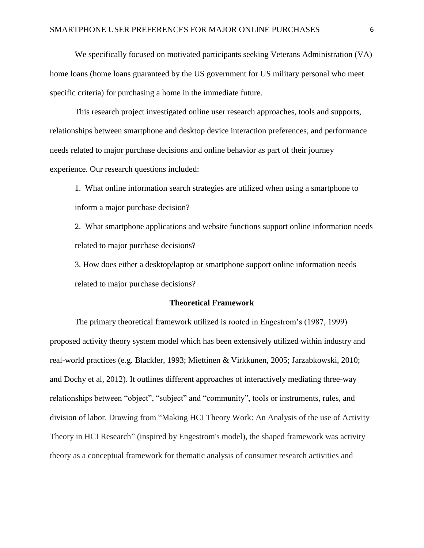We specifically focused on motivated participants seeking Veterans Administration (VA) home loans (home loans guaranteed by the US government for US military personal who meet specific criteria) for purchasing a home in the immediate future.

This research project investigated online user research approaches, tools and supports, relationships between smartphone and desktop device interaction preferences, and performance needs related to major purchase decisions and online behavior as part of their journey experience. Our research questions included:

1. What online information search strategies are utilized when using a smartphone to inform a major purchase decision?

2. What smartphone applications and website functions support online information needs related to major purchase decisions?

3. How does either a desktop/laptop or smartphone support online information needs related to major purchase decisions?

#### **Theoretical Framework**

The primary theoretical framework utilized is rooted in Engestrom's (1987, 1999) proposed activity theory system model which has been extensively utilized within industry and real-world practices (e.g. Blackler, 1993; Miettinen & Virkkunen, 2005; Jarzabkowski, 2010; and Dochy et al, 2012). It outlines different approaches of interactively mediating three-way relationships between "object", "subject" and "community", tools or instruments, rules, and division of labor. Drawing from "Making HCI Theory Work: An Analysis of the use of Activity Theory in HCI Research" (inspired by Engestrom's model), the shaped framework was activity theory as a conceptual framework for thematic analysis of consumer research activities and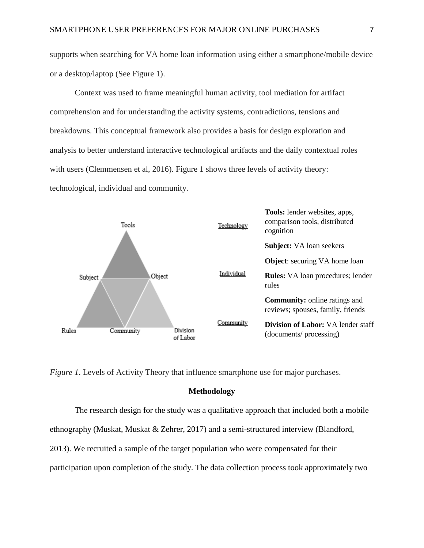supports when searching for VA home loan information using either a smartphone/mobile device or a desktop/laptop (See Figure 1).

Context was used to frame meaningful human activity, tool mediation for artifact comprehension and for understanding the activity systems, contradictions, tensions and breakdowns. This conceptual framework also provides a basis for design exploration and analysis to better understand interactive technological artifacts and the daily contextual roles with users (Clemmensen et al, 2016). Figure 1 shows three levels of activity theory: technological, individual and community.



*Figure 1*. Levels of Activity Theory that influence smartphone use for major purchases.

### **Methodology**

The research design for the study was a qualitative approach that included both a mobile ethnography (Muskat, Muskat & Zehrer, 2017) and a semi-structured interview (Blandford, 2013). We recruited a sample of the target population who were compensated for their participation upon completion of the study. The data collection process took approximately two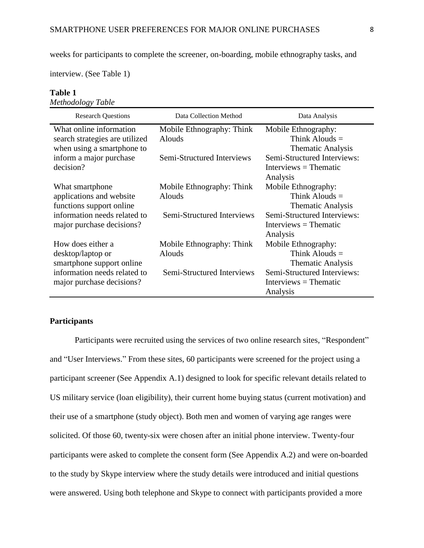weeks for participants to complete the screener, on-boarding, mobile ethnography tasks, and

interview. (See Table 1)

# **Table 1**

*Methodology Table*

| <b>Research Questions</b>      | Data Collection Method     | Data Analysis               |
|--------------------------------|----------------------------|-----------------------------|
| What online information        | Mobile Ethnography: Think  | Mobile Ethnography:         |
| search strategies are utilized | <b>Alouds</b>              | Think Alouds $=$            |
| when using a smartphone to     |                            | <b>Thematic Analysis</b>    |
| inform a major purchase        | Semi-Structured Interviews | Semi-Structured Interviews: |
| decision?                      |                            | $Interviews = Thematic$     |
|                                |                            | Analysis                    |
| What smartphone                | Mobile Ethnography: Think  | Mobile Ethnography:         |
| applications and website       | <b>Alouds</b>              | Think Alouds $=$            |
| functions support online       |                            | <b>Thematic Analysis</b>    |
| information needs related to   | Semi-Structured Interviews | Semi-Structured Interviews: |
| major purchase decisions?      |                            | $Interviews = Thematic$     |
|                                |                            | Analysis                    |
| How does either a              | Mobile Ethnography: Think  | Mobile Ethnography:         |
| desktop/laptop or              | <b>Alouds</b>              | Think Alouds $=$            |
| smartphone support online      |                            | <b>Thematic Analysis</b>    |
| information needs related to   | Semi-Structured Interviews | Semi-Structured Interviews: |
| major purchase decisions?      |                            | $Interviews = Thematic$     |
|                                |                            | Analysis                    |

## **Participants**

Participants were recruited using the services of two online research sites, "Respondent" and "User Interviews." From these sites, 60 participants were screened for the project using a participant screener (See Appendix A.1) designed to look for specific relevant details related to US military service (loan eligibility), their current home buying status (current motivation) and their use of a smartphone (study object). Both men and women of varying age ranges were solicited. Of those 60, twenty-six were chosen after an initial phone interview. Twenty-four participants were asked to complete the consent form (See Appendix A.2) and were on-boarded to the study by Skype interview where the study details were introduced and initial questions were answered. Using both telephone and Skype to connect with participants provided a more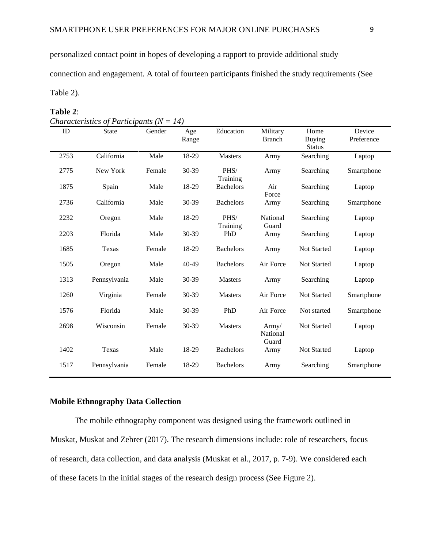personalized contact point in hopes of developing a rapport to provide additional study

connection and engagement. A total of fourteen participants finished the study requirements (See

Table 2).

#### **Table 2**:

| ID   | <b>State</b> | Gender | Age<br>Range | Education        | Military<br><b>Branch</b>  | Home<br><b>Buying</b><br><b>Status</b> | Device<br>Preference |  |
|------|--------------|--------|--------------|------------------|----------------------------|----------------------------------------|----------------------|--|
| 2753 | California   | Male   | 18-29        | <b>Masters</b>   | Army                       | Searching                              | Laptop               |  |
| 2775 | New York     | Female | 30-39        | PHS/<br>Training | Army                       | Searching                              | Smartphone           |  |
| 1875 | Spain        | Male   | 18-29        | <b>Bachelors</b> | Air<br>Force               | Searching                              | Laptop               |  |
| 2736 | California   | Male   | 30-39        | <b>Bachelors</b> | Army                       | Searching                              | Smartphone           |  |
| 2232 | Oregon       | Male   | 18-29        | PHS/<br>Training | National<br>Guard          | Searching                              | Laptop               |  |
| 2203 | Florida      | Male   | 30-39        | PhD              | Army                       | Searching                              | Laptop               |  |
| 1685 | Texas        | Female | 18-29        | <b>Bachelors</b> | Army                       | Not Started                            | Laptop               |  |
| 1505 | Oregon       | Male   | 40-49        | <b>Bachelors</b> | Air Force                  | Not Started                            | Laptop               |  |
| 1313 | Pennsylvania | Male   | 30-39        | <b>Masters</b>   | Army                       | Searching                              | Laptop               |  |
| 1260 | Virginia     | Female | 30-39        | <b>Masters</b>   | Air Force                  | Not Started                            | Smartphone           |  |
| 1576 | Florida      | Male   | 30-39        | PhD              | Air Force                  | Not started                            | Smartphone           |  |
| 2698 | Wisconsin    | Female | 30-39        | <b>Masters</b>   | Army/<br>National<br>Guard | Not Started                            | Laptop               |  |
| 1402 | Texas        | Male   | 18-29        | <b>Bachelors</b> | Army                       | Not Started                            | Laptop               |  |
| 1517 | Pennsylvania | Female | 18-29        | <b>Bachelors</b> | Army                       | Searching                              | Smartphone           |  |
|      |              |        |              |                  |                            |                                        |                      |  |

### **Mobile Ethnography Data Collection**

The mobile ethnography component was designed using the framework outlined in Muskat, Muskat and Zehrer (2017). The research dimensions include: role of researchers, focus of research, data collection, and data analysis (Muskat et al., 2017, p. 7-9). We considered each of these facets in the initial stages of the research design process (See Figure 2).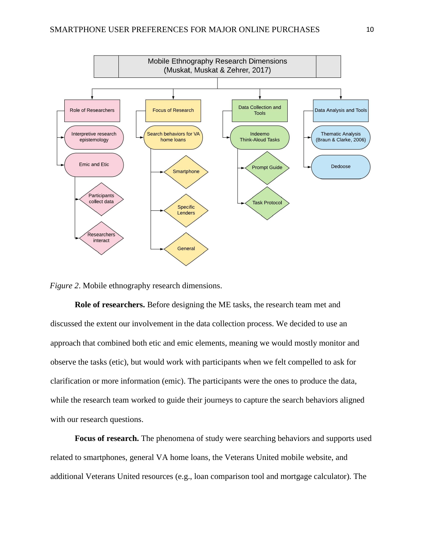

*Figure 2*. Mobile ethnography research dimensions.

**Role of researchers.** Before designing the ME tasks, the research team met and discussed the extent our involvement in the data collection process. We decided to use an approach that combined both etic and emic elements, meaning we would mostly monitor and observe the tasks (etic), but would work with participants when we felt compelled to ask for clarification or more information (emic). The participants were the ones to produce the data, while the research team worked to guide their journeys to capture the search behaviors aligned with our research questions.

**Focus of research.** The phenomena of study were searching behaviors and supports used related to smartphones, general VA home loans, the Veterans United mobile website, and additional Veterans United resources (e.g., loan comparison tool and mortgage calculator). The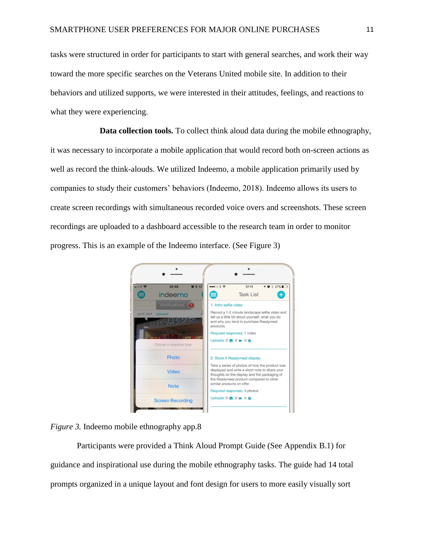tasks were structured in order for participants to start with general searches, and work their way toward the more specific searches on the Veterans United mobile site. In addition to their behaviors and utilized supports, we were interested in their attitudes, feelings, and reactions to what they were experiencing.

**Data collection tools.** To collect think aloud data during the mobile ethnography, it was necessary to incorporate a mobile application that would record both on-screen actions as well as record the think-alouds. We utilized Indeemo, a mobile application primarily used by companies to study their customers' behaviors (Indeemo, 2018). Indeemo allows its users to create screen recordings with simultaneous recorded voice overs and screenshots. These screen recordings are uploaded to a dashboard accessible to the research team in order to monitor progress. This is an example of the Indeemo interface. (See Figure 3)



*Figure 3.* Indeemo mobile ethnography app.8

Participants were provided a Think Aloud Prompt Guide (See Appendix B.1) for guidance and inspirational use during the mobile ethnography tasks. The guide had 14 total prompts organized in a unique layout and font design for users to more easily visually sort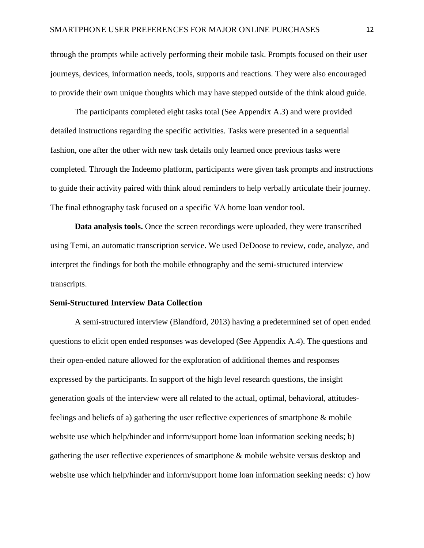through the prompts while actively performing their mobile task. Prompts focused on their user journeys, devices, information needs, tools, supports and reactions. They were also encouraged to provide their own unique thoughts which may have stepped outside of the think aloud guide.

The participants completed eight tasks total (See Appendix A.3) and were provided detailed instructions regarding the specific activities. Tasks were presented in a sequential fashion, one after the other with new task details only learned once previous tasks were completed. Through the Indeemo platform, participants were given task prompts and instructions to guide their activity paired with think aloud reminders to help verbally articulate their journey. The final ethnography task focused on a specific VA home loan vendor tool.

**Data analysis tools.** Once the screen recordings were uploaded, they were transcribed using Temi, an automatic transcription service. We used DeDoose to review, code, analyze, and interpret the findings for both the mobile ethnography and the semi-structured interview transcripts.

#### **Semi-Structured Interview Data Collection**

A semi-structured interview (Blandford, 2013) having a predetermined set of open ended questions to elicit open ended responses was developed (See Appendix A.4). The questions and their open-ended nature allowed for the exploration of additional themes and responses expressed by the participants. In support of the high level research questions, the insight generation goals of the interview were all related to the actual, optimal, behavioral, attitudesfeelings and beliefs of a) gathering the user reflective experiences of smartphone & mobile website use which help/hinder and inform/support home loan information seeking needs; b) gathering the user reflective experiences of smartphone & mobile website versus desktop and website use which help/hinder and inform/support home loan information seeking needs: c) how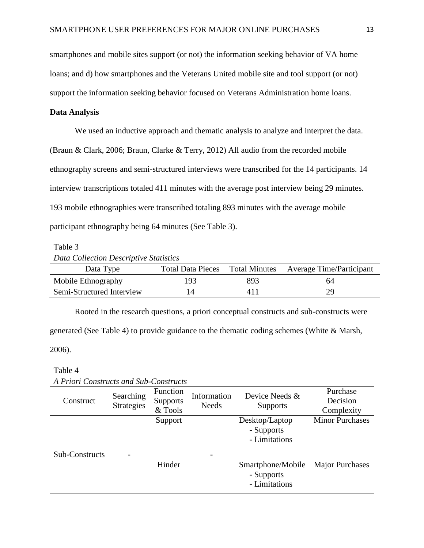smartphones and mobile sites support (or not) the information seeking behavior of VA home loans; and d) how smartphones and the Veterans United mobile site and tool support (or not) support the information seeking behavior focused on Veterans Administration home loans.

#### **Data Analysis**

We used an inductive approach and thematic analysis to analyze and interpret the data. (Braun & Clark, 2006; Braun, Clarke & Terry, 2012) All audio from the recorded mobile ethnography screens and semi-structured interviews were transcribed for the 14 participants. 14 interview transcriptions totaled 411 minutes with the average post interview being 29 minutes. 193 mobile ethnographies were transcribed totaling 893 minutes with the average mobile participant ethnography being 64 minutes (See Table 3).

#### Table 3

```
Data Collection Descriptive Statistics
```

| Data Type                 |     |     | Total Data Pieces Total Minutes Average Time/Participant |
|---------------------------|-----|-----|----------------------------------------------------------|
| Mobile Ethnography        | 193 | 893 | 64                                                       |
| Semi-Structured Interview |     | 411 | 29                                                       |

Rooted in the research questions, a priori conceptual constructs and sub-constructs were generated (See Table 4) to provide guidance to the thematic coding schemes (White & Marsh,

2006).

#### Table 4

| A I Tion Constructs and Sub-Constructs |                                |                                               |                             |                                                  |                                    |
|----------------------------------------|--------------------------------|-----------------------------------------------|-----------------------------|--------------------------------------------------|------------------------------------|
| Construct                              | Searching<br><b>Strategies</b> | <b>Function</b><br><b>Supports</b><br>& Tools | Information<br><b>Needs</b> | Device Needs &<br><b>Supports</b>                | Purchase<br>Decision<br>Complexity |
|                                        |                                | Support                                       |                             | Desktop/Laptop<br>- Supports<br>- Limitations    | <b>Minor Purchases</b>             |
| Sub-Constructs                         |                                | Hinder                                        |                             | Smartphone/Mobile<br>- Supports<br>- Limitations | <b>Major Purchases</b>             |

*A Priori Constructs and Sub-Constructs*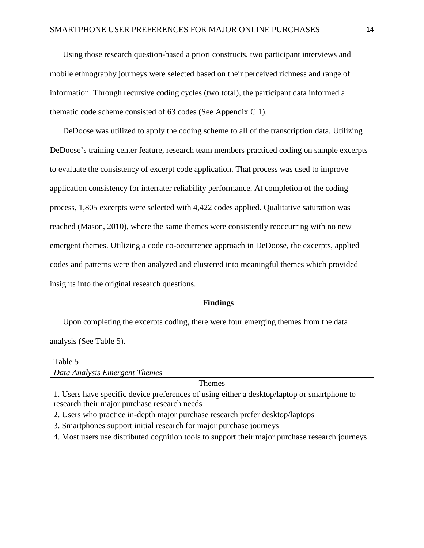Using those research question-based a priori constructs, two participant interviews and mobile ethnography journeys were selected based on their perceived richness and range of information. Through recursive coding cycles (two total), the participant data informed a thematic code scheme consisted of 63 codes (See Appendix C.1).

DeDoose was utilized to apply the coding scheme to all of the transcription data. Utilizing DeDoose's training center feature, research team members practiced coding on sample excerpts to evaluate the consistency of excerpt code application. That process was used to improve application consistency for interrater reliability performance. At completion of the coding process, 1,805 excerpts were selected with 4,422 codes applied. Qualitative saturation was reached (Mason, 2010), where the same themes were consistently reoccurring with no new emergent themes. Utilizing a code co-occurrence approach in DeDoose, the excerpts, applied codes and patterns were then analyzed and clustered into meaningful themes which provided insights into the original research questions.

#### **Findings**

Upon completing the excerpts coding, there were four emerging themes from the data analysis (See Table 5).

# Table 5 *Data Analysis Emergent Themes*

Themes

1. Users have specific device preferences of using either a desktop/laptop or smartphone to research their major purchase research needs

2. Users who practice in-depth major purchase research prefer desktop/laptops

3. Smartphones support initial research for major purchase journeys

4. Most users use distributed cognition tools to support their major purchase research journeys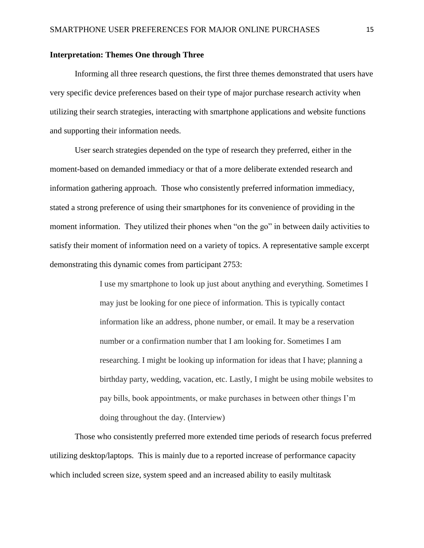#### **Interpretation: Themes One through Three**

Informing all three research questions, the first three themes demonstrated that users have very specific device preferences based on their type of major purchase research activity when utilizing their search strategies, interacting with smartphone applications and website functions and supporting their information needs.

User search strategies depended on the type of research they preferred, either in the moment-based on demanded immediacy or that of a more deliberate extended research and information gathering approach. Those who consistently preferred information immediacy, stated a strong preference of using their smartphones for its convenience of providing in the moment information. They utilized their phones when "on the go" in between daily activities to satisfy their moment of information need on a variety of topics. A representative sample excerpt demonstrating this dynamic comes from participant 2753:

> I use my smartphone to look up just about anything and everything. Sometimes I may just be looking for one piece of information. This is typically contact information like an address, phone number, or email. It may be a reservation number or a confirmation number that I am looking for. Sometimes I am researching. I might be looking up information for ideas that I have; planning a birthday party, wedding, vacation, etc. Lastly, I might be using mobile websites to pay bills, book appointments, or make purchases in between other things I'm doing throughout the day. (Interview)

Those who consistently preferred more extended time periods of research focus preferred utilizing desktop/laptops. This is mainly due to a reported increase of performance capacity which included screen size, system speed and an increased ability to easily multitask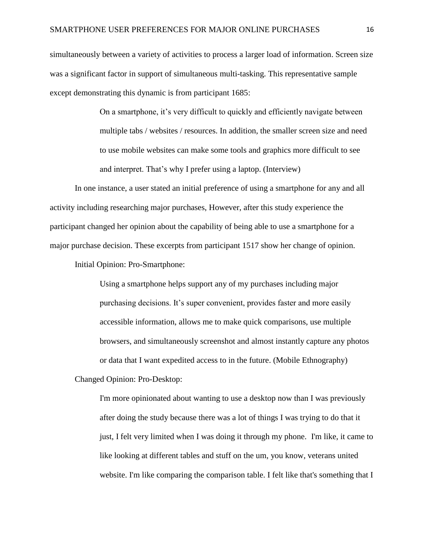simultaneously between a variety of activities to process a larger load of information. Screen size was a significant factor in support of simultaneous multi-tasking. This representative sample except demonstrating this dynamic is from participant 1685:

> On a smartphone, it's very difficult to quickly and efficiently navigate between multiple tabs / websites / resources. In addition, the smaller screen size and need to use mobile websites can make some tools and graphics more difficult to see and interpret. That's why I prefer using a laptop. (Interview)

In one instance, a user stated an initial preference of using a smartphone for any and all activity including researching major purchases, However, after this study experience the participant changed her opinion about the capability of being able to use a smartphone for a major purchase decision. These excerpts from participant 1517 show her change of opinion.

Initial Opinion: Pro-Smartphone:

Using a smartphone helps support any of my purchases including major purchasing decisions. It's super convenient, provides faster and more easily accessible information, allows me to make quick comparisons, use multiple browsers, and simultaneously screenshot and almost instantly capture any photos or data that I want expedited access to in the future. (Mobile Ethnography)

Changed Opinion: Pro-Desktop:

I'm more opinionated about wanting to use a desktop now than I was previously after doing the study because there was a lot of things I was trying to do that it just, I felt very limited when I was doing it through my phone. I'm like, it came to like looking at different tables and stuff on the um, you know, veterans united website. I'm like comparing the comparison table. I felt like that's something that I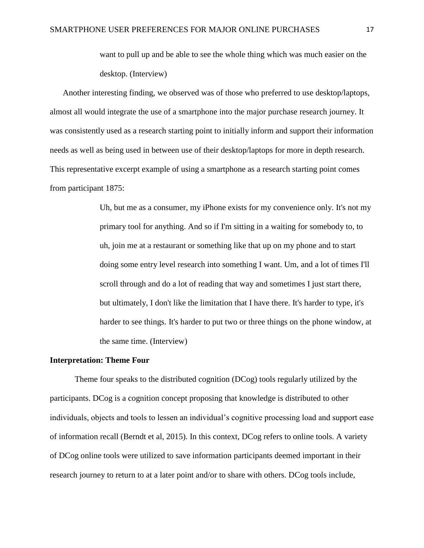want to pull up and be able to see the whole thing which was much easier on the desktop. (Interview)

Another interesting finding, we observed was of those who preferred to use desktop/laptops, almost all would integrate the use of a smartphone into the major purchase research journey. It was consistently used as a research starting point to initially inform and support their information needs as well as being used in between use of their desktop/laptops for more in depth research. This representative excerpt example of using a smartphone as a research starting point comes from participant 1875:

> Uh, but me as a consumer, my iPhone exists for my convenience only. It's not my primary tool for anything. And so if I'm sitting in a waiting for somebody to, to uh, join me at a restaurant or something like that up on my phone and to start doing some entry level research into something I want. Um, and a lot of times I'll scroll through and do a lot of reading that way and sometimes I just start there, but ultimately, I don't like the limitation that I have there. It's harder to type, it's harder to see things. It's harder to put two or three things on the phone window, at the same time. (Interview)

#### **Interpretation: Theme Four**

Theme four speaks to the distributed cognition (DCog) tools regularly utilized by the participants. DCog is a cognition concept proposing that knowledge is distributed to other individuals, objects and tools to lessen an individual's cognitive processing load and support ease of information recall (Berndt et al, 2015). In this context, DCog refers to online tools. A variety of DCog online tools were utilized to save information participants deemed important in their research journey to return to at a later point and/or to share with others. DCog tools include,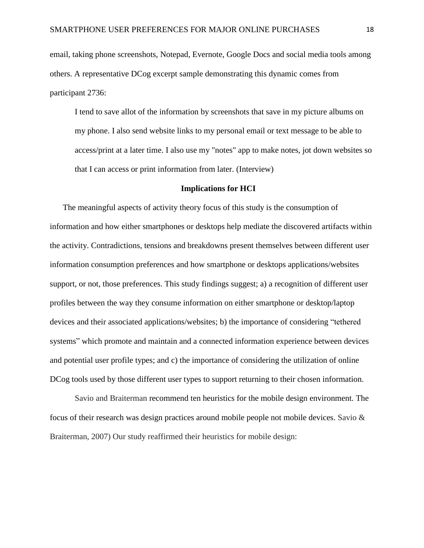email, taking phone screenshots, Notepad, Evernote, Google Docs and social media tools among others. A representative DCog excerpt sample demonstrating this dynamic comes from participant 2736:

I tend to save allot of the information by screenshots that save in my picture albums on my phone. I also send website links to my personal email or text message to be able to access/print at a later time. I also use my "notes" app to make notes, jot down websites so that I can access or print information from later. (Interview)

#### **Implications for HCI**

The meaningful aspects of activity theory focus of this study is the consumption of information and how either smartphones or desktops help mediate the discovered artifacts within the activity. Contradictions, tensions and breakdowns present themselves between different user information consumption preferences and how smartphone or desktops applications/websites support, or not, those preferences. This study findings suggest; a) a recognition of different user profiles between the way they consume information on either smartphone or desktop/laptop devices and their associated applications/websites; b) the importance of considering "tethered systems" which promote and maintain and a connected information experience between devices and potential user profile types; and c) the importance of considering the utilization of online DCog tools used by those different user types to support returning to their chosen information.

Savio and Braiterman recommend ten heuristics for the mobile design environment. The focus of their research was design practices around mobile people not mobile devices. Savio & Braiterman, 2007) Our study reaffirmed their heuristics for mobile design: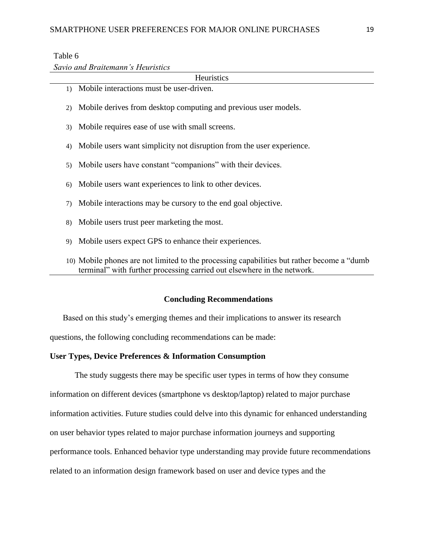### Table 6

*Savio and Braitemann's Heuristics*

| Heuristics                                                                                                                                                             |
|------------------------------------------------------------------------------------------------------------------------------------------------------------------------|
| Mobile interactions must be user-driven.<br>1)                                                                                                                         |
| Mobile derives from desktop computing and previous user models.<br>2)                                                                                                  |
| Mobile requires ease of use with small screens.<br>3)                                                                                                                  |
| Mobile users want simplicity not disruption from the user experience.<br>4)                                                                                            |
| Mobile users have constant "companions" with their devices.<br>5)                                                                                                      |
| Mobile users want experiences to link to other devices.<br>6)                                                                                                          |
| Mobile interactions may be cursory to the end goal objective.<br>7)                                                                                                    |
| Mobile users trust peer marketing the most.<br>8)                                                                                                                      |
| Mobile users expect GPS to enhance their experiences.<br>9)                                                                                                            |
| 10) Mobile phones are not limited to the processing capabilities but rather become a "dumb"<br>terminal" with further processing carried out elsewhere in the network. |
|                                                                                                                                                                        |

#### **Concluding Recommendations**

Based on this study's emerging themes and their implications to answer its research

questions, the following concluding recommendations can be made:

### **User Types, Device Preferences & Information Consumption**

The study suggests there may be specific user types in terms of how they consume information on different devices (smartphone vs desktop/laptop) related to major purchase information activities. Future studies could delve into this dynamic for enhanced understanding on user behavior types related to major purchase information journeys and supporting performance tools. Enhanced behavior type understanding may provide future recommendations related to an information design framework based on user and device types and the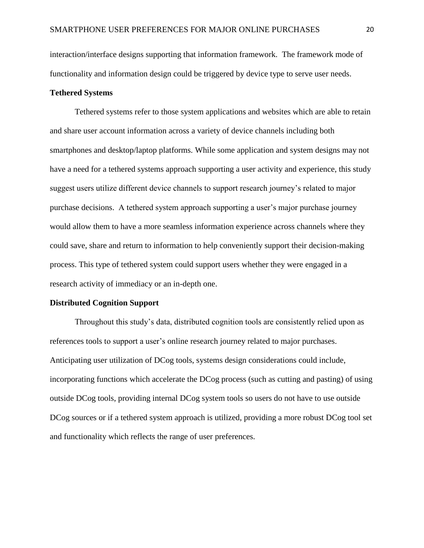interaction/interface designs supporting that information framework. The framework mode of functionality and information design could be triggered by device type to serve user needs.

### **Tethered Systems**

Tethered systems refer to those system applications and websites which are able to retain and share user account information across a variety of device channels including both smartphones and desktop/laptop platforms. While some application and system designs may not have a need for a tethered systems approach supporting a user activity and experience, this study suggest users utilize different device channels to support research journey's related to major purchase decisions. A tethered system approach supporting a user's major purchase journey would allow them to have a more seamless information experience across channels where they could save, share and return to information to help conveniently support their decision-making process. This type of tethered system could support users whether they were engaged in a research activity of immediacy or an in-depth one.

#### **Distributed Cognition Support**

Throughout this study's data, distributed cognition tools are consistently relied upon as references tools to support a user's online research journey related to major purchases. Anticipating user utilization of DCog tools, systems design considerations could include, incorporating functions which accelerate the DCog process (such as cutting and pasting) of using outside DCog tools, providing internal DCog system tools so users do not have to use outside DCog sources or if a tethered system approach is utilized, providing a more robust DCog tool set and functionality which reflects the range of user preferences.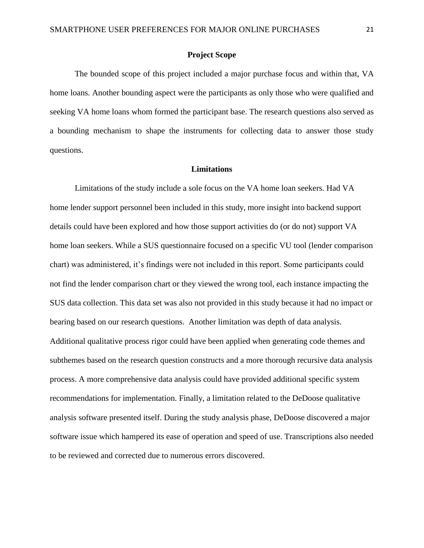#### **Project Scope**

The bounded scope of this project included a major purchase focus and within that, VA home loans. Another bounding aspect were the participants as only those who were qualified and seeking VA home loans whom formed the participant base. The research questions also served as a bounding mechanism to shape the instruments for collecting data to answer those study questions.

#### **Limitations**

Limitations of the study include a sole focus on the VA home loan seekers. Had VA home lender support personnel been included in this study, more insight into backend support details could have been explored and how those support activities do (or do not) support VA home loan seekers. While a SUS questionnaire focused on a specific VU tool (lender comparison chart) was administered, it's findings were not included in this report. Some participants could not find the lender comparison chart or they viewed the wrong tool, each instance impacting the SUS data collection. This data set was also not provided in this study because it had no impact or bearing based on our research questions. Another limitation was depth of data analysis. Additional qualitative process rigor could have been applied when generating code themes and subthemes based on the research question constructs and a more thorough recursive data analysis process. A more comprehensive data analysis could have provided additional specific system recommendations for implementation. Finally, a limitation related to the DeDoose qualitative analysis software presented itself. During the study analysis phase, DeDoose discovered a major software issue which hampered its ease of operation and speed of use. Transcriptions also needed to be reviewed and corrected due to numerous errors discovered.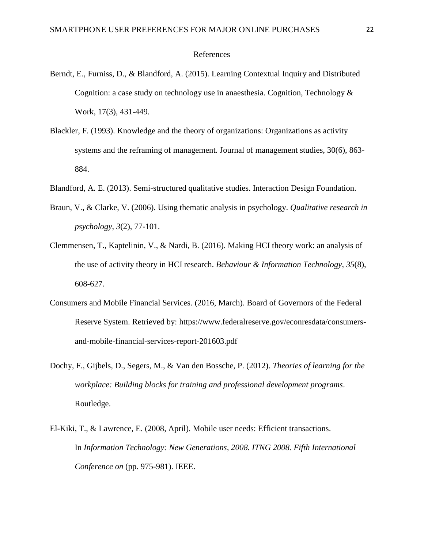#### References

- Berndt, E., Furniss, D., & Blandford, A. (2015). Learning Contextual Inquiry and Distributed Cognition: a case study on technology use in anaesthesia. Cognition, Technology & Work, 17(3), 431-449.
- Blackler, F. (1993). Knowledge and the theory of organizations: Organizations as activity systems and the reframing of management. Journal of management studies, 30(6), 863- 884.
- Blandford, A. E. (2013). Semi-structured qualitative studies. Interaction Design Foundation.
- Braun, V., & Clarke, V. (2006). Using thematic analysis in psychology. *Qualitative research in psychology*, *3*(2), 77-101.
- Clemmensen, T., Kaptelinin, V., & Nardi, B. (2016). Making HCI theory work: an analysis of the use of activity theory in HCI research. *Behaviour & Information Technology*, *35*(8), 608-627.
- Consumers and Mobile Financial Services. (2016, March). Board of Governors of the Federal Reserve System. Retrieved by: https://www.federalreserve.gov/econresdata/consumersand-mobile-financial-services-report-201603.pdf
- Dochy, F., Gijbels, D., Segers, M., & Van den Bossche, P. (2012). *Theories of learning for the workplace: Building blocks for training and professional development programs*. Routledge.
- El-Kiki, T., & Lawrence, E. (2008, April). Mobile user needs: Efficient transactions. In *Information Technology: New Generations, 2008. ITNG 2008. Fifth International Conference on* (pp. 975-981). IEEE.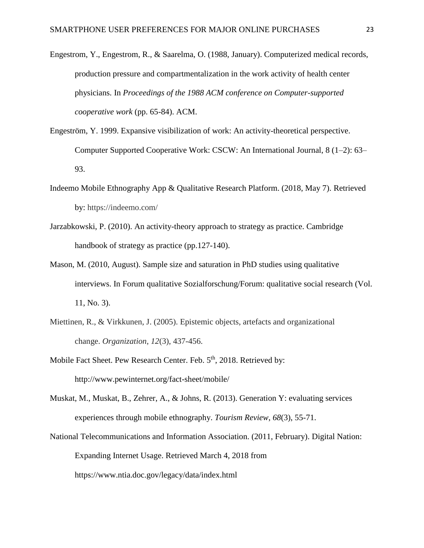Engestrom, Y., Engestrom, R., & Saarelma, O. (1988, January). Computerized medical records, production pressure and compartmentalization in the work activity of health center physicians. In *Proceedings of the 1988 ACM conference on Computer-supported cooperative work* (pp. 65-84). ACM.

- Engeström, Y. 1999. Expansive visibilization of work: An activity-theoretical perspective. Computer Supported Cooperative Work: CSCW: An International Journal, 8 (1–2): 63– 93.
- Indeemo Mobile Ethnography App & Qualitative Research Platform. (2018, May 7). Retrieved by: https://indeemo.com/
- Jarzabkowski, P. (2010). An activity-theory approach to strategy as practice. Cambridge handbook of strategy as practice (pp.127-140).
- Mason, M. (2010, August). Sample size and saturation in PhD studies using qualitative interviews. In Forum qualitative Sozialforschung/Forum: qualitative social research (Vol. 11, No. 3).
- Miettinen, R., & Virkkunen, J. (2005). Epistemic objects, artefacts and organizational change. *Organization*, *12*(3), 437-456.
- Mobile Fact Sheet. Pew Research Center. Feb. 5<sup>th</sup>, 2018. Retrieved by: http://www.pewinternet.org/fact-sheet/mobile/
- Muskat, M., Muskat, B., Zehrer, A., & Johns, R. (2013). Generation Y: evaluating services experiences through mobile ethnography. *Tourism Review*, *68*(3), 55-71.
- National Telecommunications and Information Association. (2011, February). Digital Nation: Expanding Internet Usage. Retrieved March 4, 2018 from https://www.ntia.doc.gov/legacy/data/index.html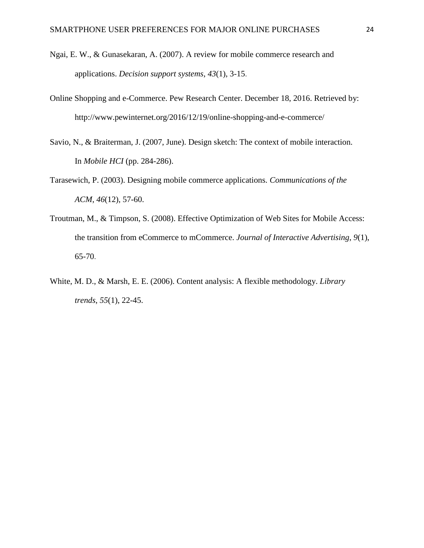- Ngai, E. W., & Gunasekaran, A. (2007). A review for mobile commerce research and applications. *Decision support systems*, *43*(1), 3-15.
- Online Shopping and e-Commerce. Pew Research Center. December 18, 2016. Retrieved by: http://www.pewinternet.org/2016/12/19/online-shopping-and-e-commerce/
- Savio, N., & Braiterman, J. (2007, June). Design sketch: The context of mobile interaction. In *Mobile HCI* (pp. 284-286).
- Tarasewich, P. (2003). Designing mobile commerce applications. *Communications of the ACM*, *46*(12), 57-60.
- Troutman, M., & Timpson, S. (2008). Effective Optimization of Web Sites for Mobile Access: the transition from eCommerce to mCommerce. *Journal of Interactive Advertising*, *9*(1), 65-70.
- White, M. D., & Marsh, E. E. (2006). Content analysis: A flexible methodology. *Library trends*, *55*(1), 22-45.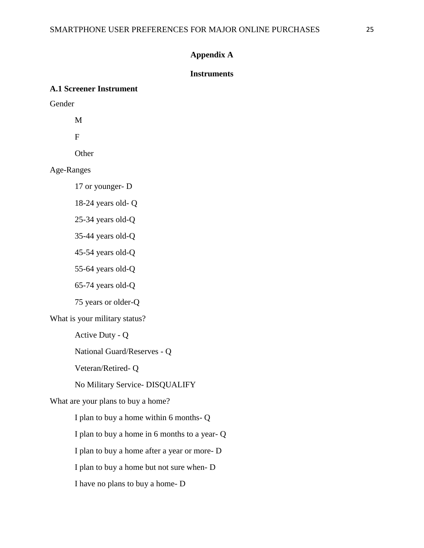### **Appendix A**

### **Instruments**

### **A.1 Screener Instrument**

Gender

M

F

**Other** 

Age-Ranges

17 or younger- D

18-24 years old- Q

25-34 years old-Q

35-44 years old-Q

45-54 years old-Q

55-64 years old-Q

65-74 years old-Q

75 years or older-Q

What is your military status?

Active Duty - Q

National Guard/Reserves - Q

Veteran/Retired- Q

No Military Service- DISQUALIFY

What are your plans to buy a home?

I plan to buy a home within 6 months- Q

I plan to buy a home in 6 months to a year- Q

I plan to buy a home after a year or more- D

I plan to buy a home but not sure when- D

I have no plans to buy a home- D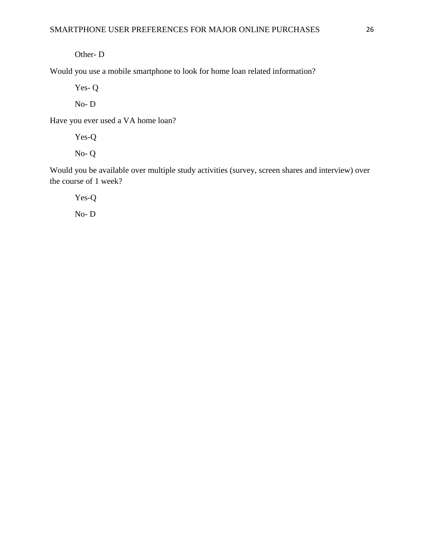Other- D

Would you use a mobile smartphone to look for home loan related information?

Yes- Q

No- D

Have you ever used a VA home loan?

Yes-Q No- Q

Would you be available over multiple study activities (survey, screen shares and interview) over the course of 1 week?

Yes-Q

No- D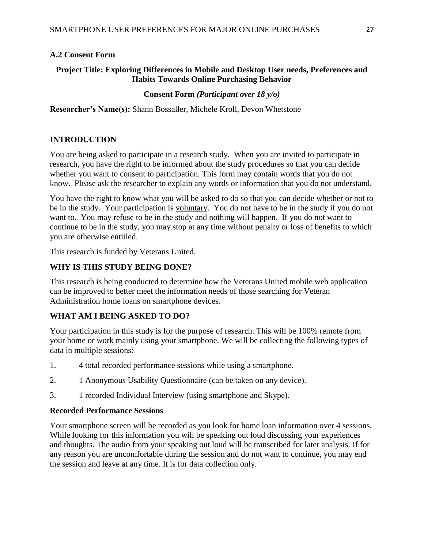# **A.2 Consent Form**

## **Project Title: Exploring Differences in Mobile and Desktop User needs, Preferences and Habits Towards Online Purchasing Behavior**

### **Consent Form** *(Participant over 18 y/o)*

**Researcher's Name(s):** Shann Bossaller, Michele Kroll, Devon Whetstone

# **INTRODUCTION**

You are being asked to participate in a research study. When you are invited to participate in research, you have the right to be informed about the study procedures so that you can decide whether you want to consent to participation. This form may contain words that you do not know. Please ask the researcher to explain any words or information that you do not understand.

You have the right to know what you will be asked to do so that you can decide whether or not to be in the study. Your participation is voluntary. You do not have to be in the study if you do not want to. You may refuse to be in the study and nothing will happen. If you do not want to continue to be in the study, you may stop at any time without penalty or loss of benefits to which you are otherwise entitled.

This research is funded by Veterans United.

## **WHY IS THIS STUDY BEING DONE?**

This research is being conducted to determine how the Veterans United mobile web application can be improved to better meet the information needs of those searching for Veteran Administration home loans on smartphone devices.

# **WHAT AM I BEING ASKED TO DO?**

Your participation in this study is for the purpose of research. This will be 100% remote from your home or work mainly using your smartphone. We will be collecting the following types of data in multiple sessions:

- 1. 4 total recorded performance sessions while using a smartphone.
- 2. 1 Anonymous Usability Questionnaire (can be taken on any device).
- 3. 1 recorded Individual Interview (using smartphone and Skype).

### **Recorded Performance Sessions**

Your smartphone screen will be recorded as you look for home loan information over 4 sessions. While looking for this information you will be speaking out loud discussing your experiences and thoughts. The audio from your speaking out loud will be transcribed for later analysis. If for any reason you are uncomfortable during the session and do not want to continue, you may end the session and leave at any time. It is for data collection only.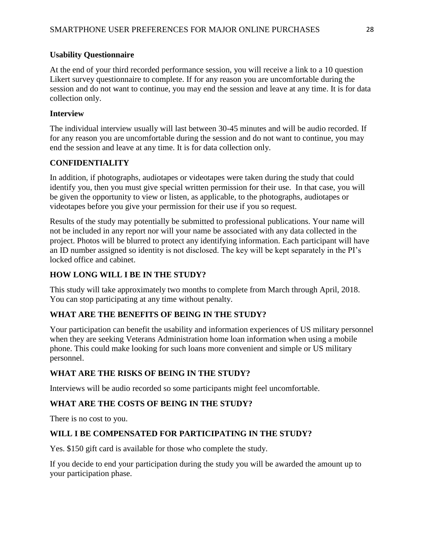### **Usability Questionnaire**

At the end of your third recorded performance session, you will receive a link to a 10 question Likert survey questionnaire to complete. If for any reason you are uncomfortable during the session and do not want to continue, you may end the session and leave at any time. It is for data collection only.

## **Interview**

The individual interview usually will last between 30-45 minutes and will be audio recorded. If for any reason you are uncomfortable during the session and do not want to continue, you may end the session and leave at any time. It is for data collection only.

### **CONFIDENTIALITY**

In addition, if photographs, audiotapes or videotapes were taken during the study that could identify you, then you must give special written permission for their use. In that case, you will be given the opportunity to view or listen, as applicable, to the photographs, audiotapes or videotapes before you give your permission for their use if you so request.

Results of the study may potentially be submitted to professional publications. Your name will not be included in any report nor will your name be associated with any data collected in the project. Photos will be blurred to protect any identifying information. Each participant will have an ID number assigned so identity is not disclosed. The key will be kept separately in the PI's locked office and cabinet.

# **HOW LONG WILL I BE IN THE STUDY?**

This study will take approximately two months to complete from March through April, 2018. You can stop participating at any time without penalty.

# **WHAT ARE THE BENEFITS OF BEING IN THE STUDY?**

Your participation can benefit the usability and information experiences of US military personnel when they are seeking Veterans Administration home loan information when using a mobile phone. This could make looking for such loans more convenient and simple or US military personnel.

# **WHAT ARE THE RISKS OF BEING IN THE STUDY?**

Interviews will be audio recorded so some participants might feel uncomfortable.

# **WHAT ARE THE COSTS OF BEING IN THE STUDY?**

There is no cost to you.

# **WILL I BE COMPENSATED FOR PARTICIPATING IN THE STUDY?**

Yes. \$150 gift card is available for those who complete the study.

If you decide to end your participation during the study you will be awarded the amount up to your participation phase.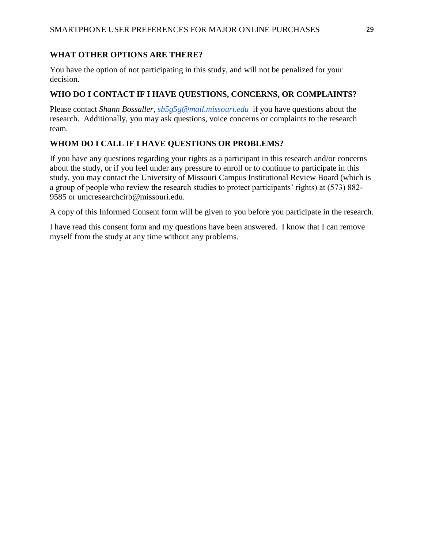# **WHAT OTHER OPTIONS ARE THERE?**

You have the option of not participating in this study, and will not be penalized for your decision.

### **WHO DO I CONTACT IF I HAVE QUESTIONS, CONCERNS, OR COMPLAINTS?**

Please contact *Shann Bossaller, [sb5g5g@mail.missouri.edu](mailto:sb5g5g@mail.missouri.edu)* if you have questions about the research. Additionally, you may ask questions, voice concerns or complaints to the research team.

# **WHOM DO I CALL IF I HAVE QUESTIONS OR PROBLEMS?**

If you have any questions regarding your rights as a participant in this research and/or concerns about the study, or if you feel under any pressure to enroll or to continue to participate in this study, you may contact the University of Missouri Campus Institutional Review Board (which is a group of people who review the research studies to protect participants' rights) at (573) 882- 9585 or umcresearchcirb@missouri.edu.

A copy of this Informed Consent form will be given to you before you participate in the research.

I have read this consent form and my questions have been answered. I know that I can remove myself from the study at any time without any problems.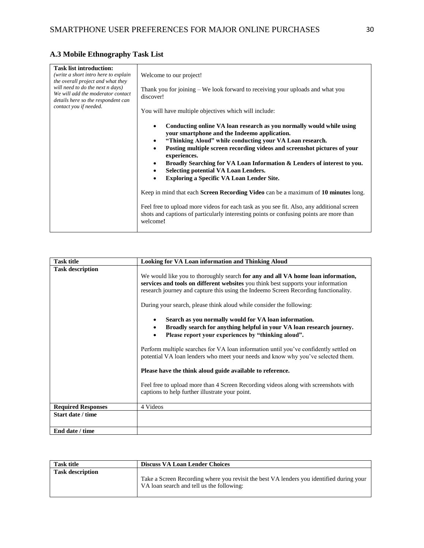# **A.3 Mobile Ethnography Task List**

| <b>Task list introduction:</b><br>(write a short intro here to explain<br>the overall project and what they<br>will need to do the next n days)<br>We will add the moderator contact<br>details here so the respondent can | Welcome to our project!                                                                                                                                                                                                                                                                                                                                                                                                                                                                                                           |
|----------------------------------------------------------------------------------------------------------------------------------------------------------------------------------------------------------------------------|-----------------------------------------------------------------------------------------------------------------------------------------------------------------------------------------------------------------------------------------------------------------------------------------------------------------------------------------------------------------------------------------------------------------------------------------------------------------------------------------------------------------------------------|
|                                                                                                                                                                                                                            | Thank you for joining $-$ We look forward to receiving your uploads and what you<br>discover!                                                                                                                                                                                                                                                                                                                                                                                                                                     |
| contact you if needed.                                                                                                                                                                                                     | You will have multiple objectives which will include:                                                                                                                                                                                                                                                                                                                                                                                                                                                                             |
|                                                                                                                                                                                                                            | Conducting online VA loan research as you normally would while using<br>$\bullet$<br>your smartphone and the Indeemo application.<br>"Thinking Aloud" while conducting your VA Loan research.<br>$\bullet$<br>Posting multiple screen recording videos and screenshot pictures of your<br>$\bullet$<br>experiences.<br>Broadly Searching for VA Loan Information & Lenders of interest to you.<br>$\bullet$<br><b>Selecting potential VA Loan Lenders.</b><br>$\bullet$<br>Exploring a Specific VA Loan Lender Site.<br>$\bullet$ |
|                                                                                                                                                                                                                            | Keep in mind that each <b>Screen Recording Video</b> can be a maximum of 10 minutes long.                                                                                                                                                                                                                                                                                                                                                                                                                                         |
|                                                                                                                                                                                                                            | Feel free to upload more videos for each task as you see fit. Also, any additional screen<br>shots and captions of particularly interesting points or confusing points are more than<br>welcome!                                                                                                                                                                                                                                                                                                                                  |

| <b>Task title</b>         | <b>Looking for VA Loan information and Thinking Aloud</b>                                                                                                                                                                                                                                                                            |
|---------------------------|--------------------------------------------------------------------------------------------------------------------------------------------------------------------------------------------------------------------------------------------------------------------------------------------------------------------------------------|
| <b>Task description</b>   | We would like you to thoroughly search for any and all VA home loan information,<br>services and tools on different websites you think best supports your information<br>research journey and capture this using the Indeemo Screen Recording functionality.<br>During your search, please think aloud while consider the following: |
|                           | Search as you normally would for VA loan information.<br>$\bullet$<br>Broadly search for anything helpful in your VA loan research journey.<br>$\bullet$<br>Please report your experiences by "thinking aloud".<br>$\bullet$                                                                                                         |
|                           | Perform multiple searches for VA loan information until you've confidently settled on<br>potential VA loan lenders who meet your needs and know why you've selected them.                                                                                                                                                            |
|                           | Please have the think aloud guide available to reference.                                                                                                                                                                                                                                                                            |
|                           | Feel free to upload more than 4 Screen Recording videos along with screenshots with<br>captions to help further illustrate your point.                                                                                                                                                                                               |
| <b>Required Responses</b> | 4 Videos                                                                                                                                                                                                                                                                                                                             |
| Start date / time         |                                                                                                                                                                                                                                                                                                                                      |
| End date / time           |                                                                                                                                                                                                                                                                                                                                      |

| <b>Task title</b>       | <b>Discuss VA Loan Lender Choices</b>                                                                                                 |
|-------------------------|---------------------------------------------------------------------------------------------------------------------------------------|
| <b>Task description</b> |                                                                                                                                       |
|                         | Take a Screen Recording where you revisit the best VA lenders you identified during your<br>VA loan search and tell us the following: |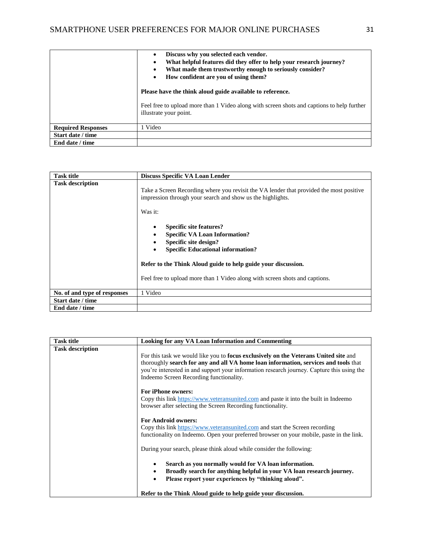|                           | Discuss why you selected each vendor.<br>$\bullet$<br>What helpful features did they offer to help your research journey?<br>$\bullet$<br>What made them trustworthy enough to seriously consider?<br>$\bullet$<br>How confident are you of using them?<br>$\bullet$<br>Please have the think aloud guide available to reference. |
|---------------------------|-----------------------------------------------------------------------------------------------------------------------------------------------------------------------------------------------------------------------------------------------------------------------------------------------------------------------------------|
|                           | Feel free to upload more than 1 Video along with screen shots and captions to help further<br>illustrate your point.                                                                                                                                                                                                              |
| <b>Required Responses</b> | l Video                                                                                                                                                                                                                                                                                                                           |
| Start date / time         |                                                                                                                                                                                                                                                                                                                                   |
| End date / time           |                                                                                                                                                                                                                                                                                                                                   |

| <b>Task title</b>            | Discuss Specific VA Loan Lender                                                                                                                                       |
|------------------------------|-----------------------------------------------------------------------------------------------------------------------------------------------------------------------|
| <b>Task description</b>      | Take a Screen Recording where you revisit the VA lender that provided the most positive<br>impression through your search and show us the highlights.<br>Was it:      |
|                              | <b>Specific site features?</b><br>$\bullet$<br><b>Specific VA Loan Information?</b><br>Specific site design?<br><b>Specific Educational information?</b><br>$\bullet$ |
|                              | Refer to the Think Aloud guide to help guide your discussion.                                                                                                         |
|                              | Feel free to upload more than 1 Video along with screen shots and captions.                                                                                           |
| No. of and type of responses | 1 Video                                                                                                                                                               |
| Start date / time            |                                                                                                                                                                       |
| End date / time              |                                                                                                                                                                       |

| <b>Task title</b>       | <b>Looking for any VA Loan Information and Commenting</b>                                                                                                                                                                                                                                                                   |
|-------------------------|-----------------------------------------------------------------------------------------------------------------------------------------------------------------------------------------------------------------------------------------------------------------------------------------------------------------------------|
| <b>Task description</b> | For this task we would like you to <b>focus exclusively on the Veterans United site</b> and<br>thoroughly search for any and all VA home loan information, services and tools that<br>you're interested in and support your information research journey. Capture this using the<br>Indeemo Screen Recording functionality. |
|                         | <b>For iPhone owners:</b><br>Copy this link https://www.veteransunited.com and paste it into the built in Indeemo<br>browser after selecting the Screen Recording functionality.                                                                                                                                            |
|                         | <b>For Android owners:</b><br>Copy this link https://www.veteransunited.com and start the Screen recording<br>functionality on Indeemo. Open your preferred browser on your mobile, paste in the link.                                                                                                                      |
|                         | During your search, please think aloud while consider the following:                                                                                                                                                                                                                                                        |
|                         | Search as you normally would for VA loan information.<br>٠<br>Broadly search for anything helpful in your VA loan research journey.<br>٠<br>Please report your experiences by "thinking aloud".<br>$\bullet$                                                                                                                |
|                         | Refer to the Think Aloud guide to help guide your discussion.                                                                                                                                                                                                                                                               |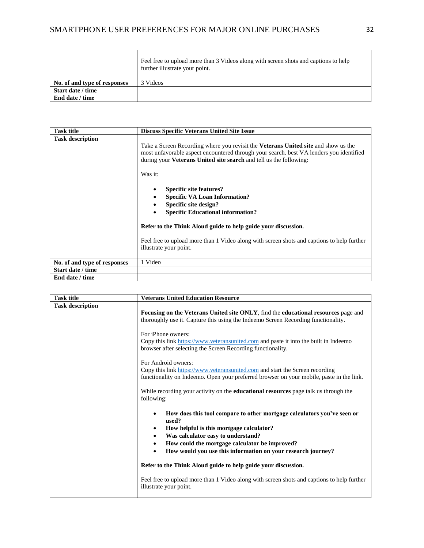|                              | Feel free to upload more than 3 Videos along with screen shots and captions to help<br>further illustrate your point. |
|------------------------------|-----------------------------------------------------------------------------------------------------------------------|
| No. of and type of responses | 3 Videos                                                                                                              |
| Start date / time            |                                                                                                                       |
| End date / time              |                                                                                                                       |

| <b>Task title</b>            | <b>Discuss Specific Veterans United Site Issue</b>                                                                                                                                                                                                                |
|------------------------------|-------------------------------------------------------------------------------------------------------------------------------------------------------------------------------------------------------------------------------------------------------------------|
| <b>Task description</b>      | Take a Screen Recording where you revisit the <b>Veterans United site</b> and show us the<br>most unfavorable aspect encountered through your search, best VA lenders you identified<br>during your <b>Veterans United site search</b> and tell us the following: |
|                              | Was it:                                                                                                                                                                                                                                                           |
|                              | <b>Specific site features?</b><br>٠<br><b>Specific VA Loan Information?</b><br>٠<br>Specific site design?<br>٠<br><b>Specific Educational information?</b>                                                                                                        |
|                              | Refer to the Think Aloud guide to help guide your discussion.                                                                                                                                                                                                     |
|                              | Feel free to upload more than 1 Video along with screen shots and captions to help further<br>illustrate your point.                                                                                                                                              |
| No. of and type of responses | 1 Video                                                                                                                                                                                                                                                           |
| Start date / time            |                                                                                                                                                                                                                                                                   |
| End date / time              |                                                                                                                                                                                                                                                                   |

| <b>Task title</b>       | <b>Veterans United Education Resource</b>                                                                                                                                                                                                                   |
|-------------------------|-------------------------------------------------------------------------------------------------------------------------------------------------------------------------------------------------------------------------------------------------------------|
| <b>Task description</b> | <b>Focusing on the Veterans United site ONLY, find the educational resources page and</b><br>thoroughly use it. Capture this using the Indeemo Screen Recording functionality.                                                                              |
|                         | For iPhone owners:<br>Copy this link https://www.veteransunited.com and paste it into the built in Indeemo<br>browser after selecting the Screen Recording functionality.                                                                                   |
|                         | For Android owners:<br>Copy this link https://www.veteransunited.com and start the Screen recording<br>functionality on Indeemo. Open your preferred browser on your mobile, paste in the link.                                                             |
|                         | While recording your activity on the <b>educational resources</b> page talk us through the<br>following:                                                                                                                                                    |
|                         | How does this tool compare to other mortgage calculators you've seen or<br>used?<br>How helpful is this mortgage calculator?<br>$\bullet$<br>Was calculator easy to understand?<br>$\bullet$<br>How could the mortgage calculator be improved?<br>$\bullet$ |
|                         | How would you use this information on your research journey?<br>$\bullet$                                                                                                                                                                                   |
|                         | Refer to the Think Aloud guide to help guide your discussion.<br>Feel free to upload more than 1 Video along with screen shots and captions to help further<br>illustrate your point.                                                                       |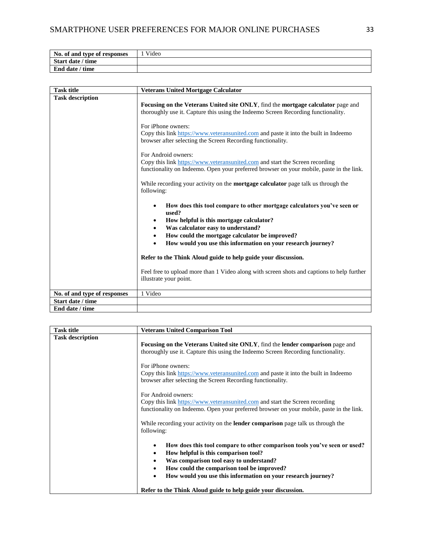| No. of and type of responses | Video |
|------------------------------|-------|
| Start date / time            |       |
| End date / time              |       |

| <b>Task title</b>            | <b>Veterans United Mortgage Calculator</b>                                                                                                                                                  |
|------------------------------|---------------------------------------------------------------------------------------------------------------------------------------------------------------------------------------------|
| <b>Task description</b>      | Focusing on the Veterans United site ONLY, find the mortgage calculator page and<br>thoroughly use it. Capture this using the Indeemo Screen Recording functionality.<br>For iPhone owners: |
|                              | Copy this link https://www.veteransunited.com and paste it into the built in Indeemo<br>browser after selecting the Screen Recording functionality.<br>For Android owners:                  |
|                              | Copy this link https://www.veteransunited.com and start the Screen recording<br>functionality on Indeemo. Open your preferred browser on your mobile, paste in the link.                    |
|                              | While recording your activity on the <b>mortgage calculator</b> page talk us through the<br>following:                                                                                      |
|                              | How does this tool compare to other mortgage calculators you've seen or<br>$\bullet$<br>used?                                                                                               |
|                              | How helpful is this mortgage calculator?<br>$\bullet$<br>Was calculator easy to understand?<br>$\bullet$                                                                                    |
|                              | How could the mortgage calculator be improved?<br>$\bullet$                                                                                                                                 |
|                              | How would you use this information on your research journey?                                                                                                                                |
|                              | Refer to the Think Aloud guide to help guide your discussion.                                                                                                                               |
|                              | Feel free to upload more than 1 Video along with screen shots and captions to help further<br>illustrate your point.                                                                        |
| No. of and type of responses | 1 Video                                                                                                                                                                                     |
| Start date / time            |                                                                                                                                                                                             |
| End date / time              |                                                                                                                                                                                             |

| <b>Task title</b>       | <b>Veterans United Comparison Tool</b>                                                                                                                                                                                                                                                    |  |
|-------------------------|-------------------------------------------------------------------------------------------------------------------------------------------------------------------------------------------------------------------------------------------------------------------------------------------|--|
| <b>Task description</b> | <b>Focusing on the Veterans United site ONLY, find the lender comparison</b> page and<br>thoroughly use it. Capture this using the Indeemo Screen Recording functionality.                                                                                                                |  |
|                         | For iPhone owners:<br>Copy this link https://www.veteransunited.com and paste it into the built in Indeemo<br>browser after selecting the Screen Recording functionality.                                                                                                                 |  |
|                         | For Android owners:<br>Copy this link https://www.veteransunited.com and start the Screen recording<br>functionality on Indeemo. Open your preferred browser on your mobile, paste in the link.<br>While recording your activity on the <b>lender comparison</b> page talk us through the |  |
|                         | following:<br>How does this tool compare to other comparison tools you've seen or used?<br>$\bullet$                                                                                                                                                                                      |  |
|                         | How helpful is this comparison tool?<br>$\bullet$<br>Was comparison tool easy to understand?<br>$\bullet$<br>How could the comparison tool be improved?<br>$\bullet$                                                                                                                      |  |
|                         | How would you use this information on your research journey?<br>$\bullet$<br>Refer to the Think Aloud guide to help guide your discussion.                                                                                                                                                |  |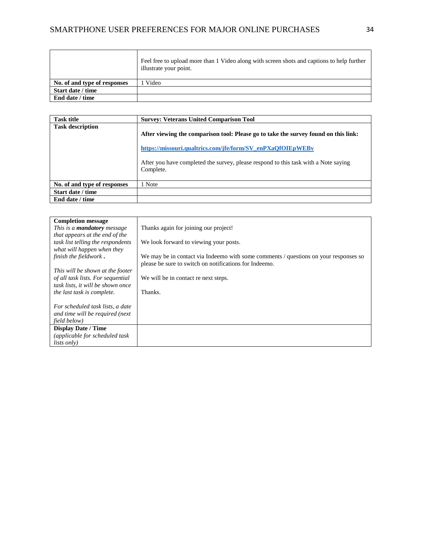|                              | Feel free to upload more than 1 Video along with screen shots and captions to help further<br>illustrate your point. |
|------------------------------|----------------------------------------------------------------------------------------------------------------------|
| No. of and type of responses | Video                                                                                                                |
| Start date / time            |                                                                                                                      |
| End date / time              |                                                                                                                      |

| <b>Task title</b>            | <b>Survey: Veterans United Comparison Tool</b>                                                                                                                                                                                                        |
|------------------------------|-------------------------------------------------------------------------------------------------------------------------------------------------------------------------------------------------------------------------------------------------------|
| <b>Task description</b>      | After viewing the comparison tool: Please go to take the survey found on this link:<br>https://missouri.qualtrics.com/jfe/form/SV enPXaOfOIEpWEBv<br>After you have completed the survey, please respond to this task with a Note saying<br>Complete. |
| No. of and type of responses | l Note                                                                                                                                                                                                                                                |
| Start date / time            |                                                                                                                                                                                                                                                       |
| End date / time              |                                                                                                                                                                                                                                                       |

| <b>Completion message</b>          |                                                                                      |
|------------------------------------|--------------------------------------------------------------------------------------|
| This is a <b>mandatory</b> message | Thanks again for joining our project!                                                |
| that appears at the end of the     |                                                                                      |
| task list telling the respondents  | We look forward to viewing your posts.                                               |
| what will happen when they         |                                                                                      |
| finish the fieldwork.              | We may be in contact via Indeemo with some comments / questions on your responses so |
|                                    | please be sure to switch on notifications for Indeemo.                               |
| This will be shown at the footer   |                                                                                      |
| of all task lists. For sequential  | We will be in contact re next steps.                                                 |
| task lists, it will be shown once  |                                                                                      |
| the last task is complete.         | Thanks.                                                                              |
|                                    |                                                                                      |
| For scheduled task lists, a date   |                                                                                      |
| and time will be required (next    |                                                                                      |
| field below)                       |                                                                                      |
| <b>Display Date / Time</b>         |                                                                                      |
| (applicable for scheduled task     |                                                                                      |
| <i>lists only</i> )                |                                                                                      |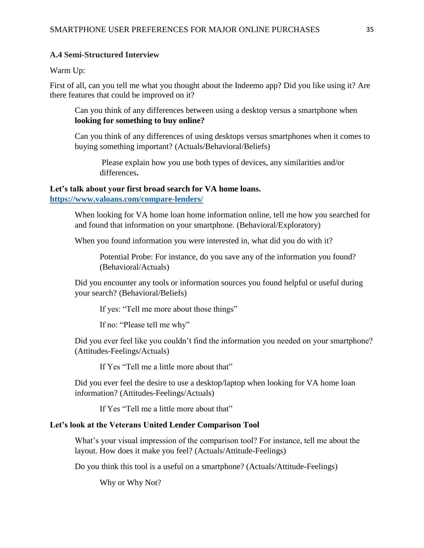#### **A.4 Semi-Structured Interview**

Warm Up:

First of all, can you tell me what you thought about the Indeemo app? Did you like using it? Are there features that could be improved on it?

Can you think of any differences between using a desktop versus a smartphone when **looking for something to buy online?**

Can you think of any differences of using desktops versus smartphones when it comes to buying something important? (Actuals/Behavioral/Beliefs)

Please explain how you use both types of devices, any similarities and/or differences**.**

## **Let's talk about your first broad search for VA home loans.**

**<https://www.valoans.com/compare-lenders/>**

When looking for VA home loan home information online, tell me how you searched for and found that information on your smartphone. (Behavioral/Exploratory)

When you found information you were interested in, what did you do with it?

Potential Probe: For instance, do you save any of the information you found? (Behavioral/Actuals)

Did you encounter any tools or information sources you found helpful or useful during your search? (Behavioral/Beliefs)

If yes: "Tell me more about those things"

If no: "Please tell me why"

Did you ever feel like you couldn't find the information you needed on your smartphone? (Attitudes-Feelings/Actuals)

If Yes "Tell me a little more about that"

Did you ever feel the desire to use a desktop/laptop when looking for VA home loan information? (Attitudes-Feelings/Actuals)

If Yes "Tell me a little more about that"

#### **Let's look at the Veterans United Lender Comparison Tool**

What's your visual impression of the comparison tool? For instance, tell me about the layout. How does it make you feel? (Actuals/Attitude-Feelings)

Do you think this tool is a useful on a smartphone? (Actuals/Attitude-Feelings)

Why or Why Not?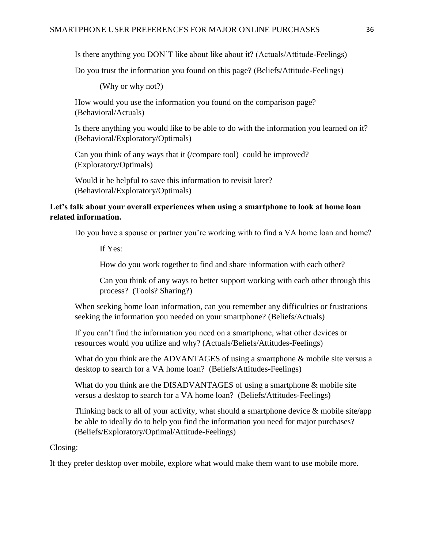Is there anything you DON'T like about like about it? (Actuals/Attitude-Feelings)

Do you trust the information you found on this page? (Beliefs/Attitude-Feelings)

(Why or why not?)

How would you use the information you found on the comparison page? (Behavioral/Actuals)

Is there anything you would like to be able to do with the information you learned on it? (Behavioral/Exploratory/Optimals)

Can you think of any ways that it (/compare tool) could be improved? (Exploratory/Optimals)

Would it be helpful to save this information to revisit later? (Behavioral/Exploratory/Optimals)

# **Let's talk about your overall experiences when using a smartphone to look at home loan related information.**

Do you have a spouse or partner you're working with to find a VA home loan and home?

If Yes:

How do you work together to find and share information with each other?

Can you think of any ways to better support working with each other through this process? (Tools? Sharing?)

When seeking home loan information, can you remember any difficulties or frustrations seeking the information you needed on your smartphone? (Beliefs/Actuals)

If you can't find the information you need on a smartphone, what other devices or resources would you utilize and why? (Actuals/Beliefs/Attitudes-Feelings)

What do you think are the ADVANTAGES of using a smartphone  $\&$  mobile site versus a desktop to search for a VA home loan? (Beliefs/Attitudes-Feelings)

What do you think are the DISADVANTAGES of using a smartphone & mobile site versus a desktop to search for a VA home loan? (Beliefs/Attitudes-Feelings)

Thinking back to all of your activity, what should a smartphone device  $\&$  mobile site/app be able to ideally do to help you find the information you need for major purchases? (Beliefs/Exploratory/Optimal/Attitude-Feelings)

Closing:

If they prefer desktop over mobile, explore what would make them want to use mobile more.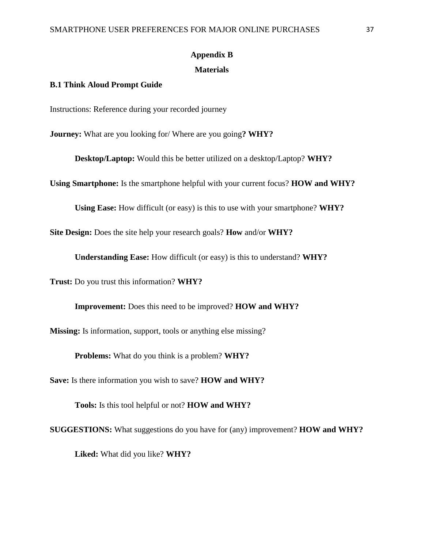# **Appendix B**

### **Materials**

### **B.1 Think Aloud Prompt Guide**

Instructions: Reference during your recorded journey

**Journey:** What are you looking for/ Where are you going**? WHY?** 

**Desktop/Laptop:** Would this be better utilized on a desktop/Laptop? **WHY?**

**Using Smartphone:** Is the smartphone helpful with your current focus? **HOW and WHY?** 

**Using Ease:** How difficult (or easy) is this to use with your smartphone? **WHY?**

**Site Design:** Does the site help your research goals? **How** and/or **WHY?** 

**Understanding Ease:** How difficult (or easy) is this to understand? **WHY?**

**Trust:** Do you trust this information? **WHY?** 

**Improvement:** Does this need to be improved? **HOW and WHY?**

**Missing:** Is information, support, tools or anything else missing?

**Problems:** What do you think is a problem? **WHY?** 

**Save:** Is there information you wish to save? **HOW and WHY?** 

**Tools:** Is this tool helpful or not? **HOW and WHY?** 

**SUGGESTIONS:** What suggestions do you have for (any) improvement? **HOW and WHY?** 

**Liked:** What did you like? **WHY?**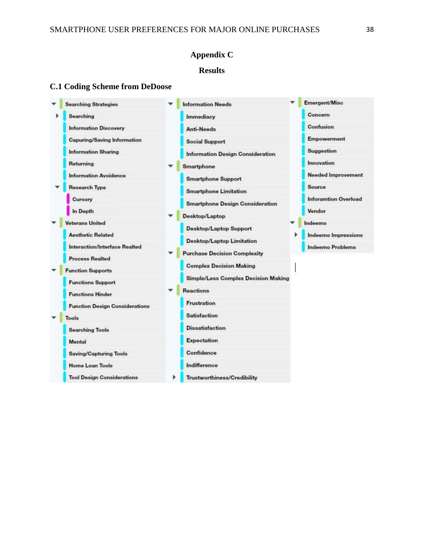# **Appendix C**

# **Results**

# **C.1 Coding Scheme from DeDoose**

| Searching<br>Immediacy<br><b>Information Discovery</b><br><b>Anti-Needs</b><br><b>Capuring/Saving Information</b><br><b>Social Support</b><br><b>Information Sharing</b><br><b>Information Design Consideration</b><br>Returning | Concern<br>Confusion        |
|----------------------------------------------------------------------------------------------------------------------------------------------------------------------------------------------------------------------------------|-----------------------------|
|                                                                                                                                                                                                                                  |                             |
|                                                                                                                                                                                                                                  |                             |
|                                                                                                                                                                                                                                  | <b>Empowerment</b>          |
|                                                                                                                                                                                                                                  | <b>Suggestion</b>           |
| Smartphone                                                                                                                                                                                                                       | Innovation                  |
| <b>Information Avoidence</b><br><b>Smartphone Support</b>                                                                                                                                                                        | <b>Needed Improvement</b>   |
| <b>Research Type</b><br><b>Smartphone Limitation</b>                                                                                                                                                                             | Source                      |
| Cursory<br><b>Smartphone Design Consideration</b>                                                                                                                                                                                | <b>Inforamtion Overload</b> |
| In Depth<br>Desktop/Laptop                                                                                                                                                                                                       | Vendor                      |
| Veterans United<br><b>Desktop/Laptop Support</b>                                                                                                                                                                                 | Indeemo                     |
| <b>Aesthetic Related</b><br><b>Desktop/Laptop Limitation</b>                                                                                                                                                                     | <b>Indeemo Impressions</b>  |
| Interaction/Interface Realted<br><b>Purchase Decision Complexity</b>                                                                                                                                                             | <b>Indeemo Problems</b>     |
| <b>Process Realted</b><br><b>Complex Decision Making</b>                                                                                                                                                                         |                             |
| <b>Function Supports</b>                                                                                                                                                                                                         |                             |
| <b>Simple/Less Complex Decision Making</b><br><b>Functions Support</b>                                                                                                                                                           |                             |
| <b>Reactions</b><br><b>Functions Hinder</b>                                                                                                                                                                                      |                             |
| <b>Frustration</b><br><b>Function Design Considerations</b>                                                                                                                                                                      |                             |
| <b>Satisfaction</b><br>Tools                                                                                                                                                                                                     |                             |
| <b>Dissatisfaction</b><br><b>Searching Tools</b>                                                                                                                                                                                 |                             |
| <b>Expectation</b><br>Mental                                                                                                                                                                                                     |                             |
| Confidence<br><b>Saving/Capturing Tools</b>                                                                                                                                                                                      |                             |
| Indifference<br><b>Home Loan Tools</b>                                                                                                                                                                                           |                             |
| <b>Tool Design Considerations</b><br><b>Trustworthiness/Credibility</b>                                                                                                                                                          |                             |